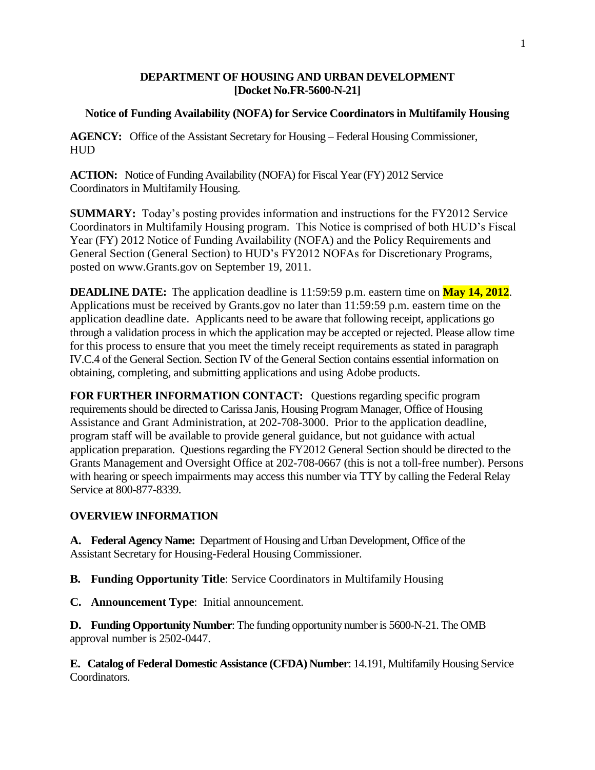#### **DEPARTMENT OF HOUSING AND URBAN DEVELOPMENT [Docket No.FR-5600-N-21]**

#### **Notice of Funding Availability (NOFA) for Service Coordinators in Multifamily Housing**

**AGENCY:** Office of the Assistant Secretary for Housing – Federal Housing Commissioner, HUD

**ACTION:** Notice of Funding Availability (NOFA) for Fiscal Year (FY) 2012 Service Coordinators in Multifamily Housing.

**SUMMARY:** Today's posting provides information and instructions for the FY2012 Service Coordinators in Multifamily Housing program. This Notice is comprised of both HUD's Fiscal Year (FY) 2012 Notice of Funding Availability (NOFA) and the Policy Requirements and General Section (General Section) to HUD's FY2012 NOFAs for Discretionary Programs, posted on [www.Grants.gov](http://www.grants.gov/) on September 19, 2011.

**DEADLINE DATE:** The application deadline is 11:59:59 p.m. eastern time on **May 14, 2012**. Applications must be received by Grants.gov no later than 11:59:59 p.m. eastern time on the application deadline date. Applicants need to be aware that following receipt, applications go through a validation process in which the application may be accepted or rejected. Please allow time for this process to ensure that you meet the timely receipt requirements as stated in paragraph IV.C.4 of the General Section. Section IV of the General Section contains essential information on obtaining, completing, and submitting applications and using Adobe products.

**FOR FURTHER INFORMATION CONTACT:** Questions regarding specific program requirements should be directed to Carissa Janis, Housing Program Manager, Office of Housing Assistance and Grant Administration, at 202-708-3000. Prior to the application deadline, program staff will be available to provide general guidance, but not guidance with actual application preparation. Questions regarding the FY2012 General Section should be directed to the Grants Management and Oversight Office at 202-708-0667 (this is not a toll-free number). Persons with hearing or speech impairments may access this number via TTY by calling the Federal Relay Service at 800-877-8339.

#### **OVERVIEW INFORMATION**

**A. Federal Agency Name:** Department of Housing and Urban Development, Office of the Assistant Secretary for Housing-Federal Housing Commissioner.

**B. Funding Opportunity Title**: Service Coordinators in Multifamily Housing

**C. Announcement Type**: Initial announcement.

**D. Funding Opportunity Number**: The funding opportunity number is 5600-N-21. The OMB approval number is 2502-0447.

**E. Catalog of Federal Domestic Assistance (CFDA) Number**: 14.191, Multifamily Housing Service Coordinators.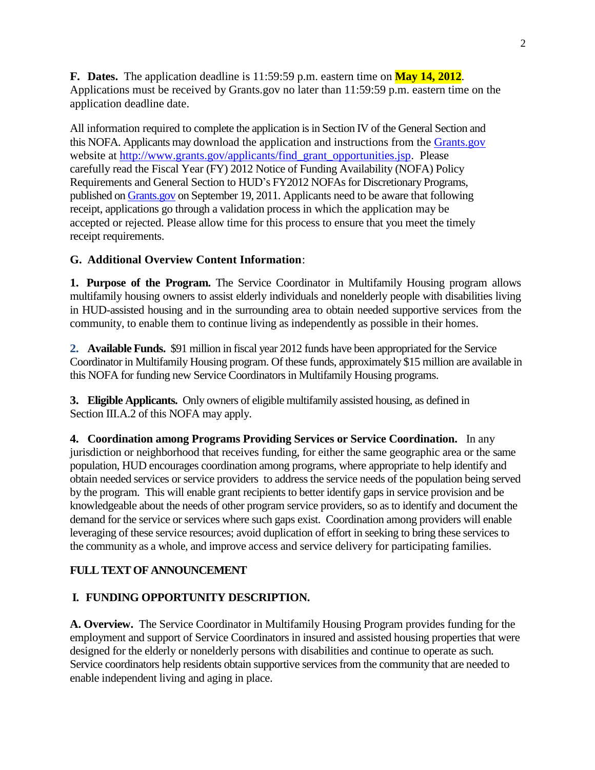**F. Dates.** The application deadline is 11:59:59 p.m. eastern time on **May 14, 2012**. Applications must be received by Grants.gov no later than 11:59:59 p.m. eastern time on the application deadline date.

All information required to complete the application is in Section IV of the General Section and this NOFA. Applicants may download the application and instructions from the [Grants.gov](http://grants.gov/) website at [http://www.grants.gov/applicants/find\\_grant\\_opportunities.jsp.](http://www.grants.gov/applicants/find_grant_opportunities.jsp) Please carefully read the Fiscal Year (FY) 2012 Notice of Funding Availability (NOFA) Policy Requirements and General Section to HUD's FY2012 NOFAs for Discretionary Programs, published o[n Grants.gov](http://grants.gov/) on September 19, 2011. Applicants need to be aware that following receipt, applications go through a validation process in which the application may be accepted or rejected. Please allow time for this process to ensure that you meet the timely receipt requirements.

#### **G. Additional Overview Content Information**:

**1. Purpose of the Program.** The Service Coordinator in Multifamily Housing program allows multifamily housing owners to assist elderly individuals and nonelderly people with disabilities living in HUD-assisted housing and in the surrounding area to obtain needed supportive services from the community, to enable them to continue living as independently as possible in their homes.

**2. Available Funds.** \$91 million in fiscal year 2012 funds have been appropriated for the Service Coordinator in Multifamily Housing program. Of these funds, approximately \$15 million are available in this NOFA for funding new Service Coordinators in Multifamily Housing programs.

**3. Eligible Applicants.** Only owners of eligible multifamily assisted housing, as defined in Section III.A.2 of this NOFA may apply.

**4. Coordination among Programs Providing Services or Service Coordination.** In any jurisdiction or neighborhood that receives funding, for either the same geographic area or the same population, HUD encourages coordination among programs, where appropriate to help identify and obtain needed services or service providers to address the service needs of the population being served by the program. This will enable grant recipients to better identify gaps in service provision and be knowledgeable about the needs of other program service providers, so as to identify and document the demand for the service or services where such gaps exist. Coordination among providers will enable leveraging of these service resources; avoid duplication of effort in seeking to bring these services to the community as a whole, and improve access and service delivery for participating families.

### **FULL TEXT OF ANNOUNCEMENT**

#### **I. FUNDING OPPORTUNITY DESCRIPTION.**

**A. Overview.** The Service Coordinator in Multifamily Housing Program provides funding for the employment and support of Service Coordinators in insured and assisted housing properties that were designed for the elderly or nonelderly persons with disabilities and continue to operate as such. Service coordinators help residents obtain supportive services from the community that are needed to enable independent living and aging in place.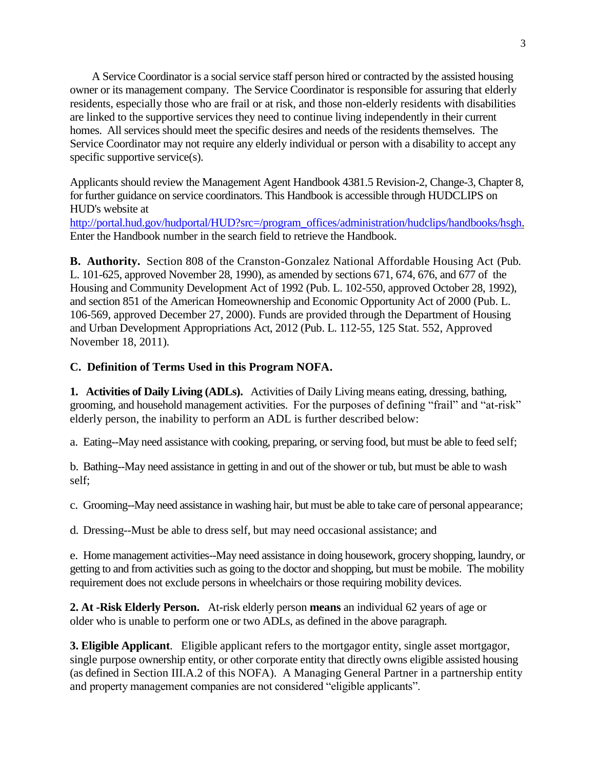A Service Coordinator is a social service staff person hired or contracted by the assisted housing owner or its management company. The Service Coordinator is responsible for assuring that elderly residents, especially those who are frail or at risk, and those non-elderly residents with disabilities are linked to the supportive services they need to continue living independently in their current homes. All services should meet the specific desires and needs of the residents themselves. The Service Coordinator may not require any elderly individual or person with a disability to accept any specific supportive service(s).

Applicants should review the Management Agent Handbook 4381.5 Revision-2, Change-3, Chapter 8, for further guidance on service coordinators. This Handbook is accessible through HUDCLIPS on HUD's website at [http://portal.hud.gov/hudportal/HUD?src=/program\\_offices/administration/hudclips/handbooks/hsgh.](http://portal.hud.gov/hudportal/HUD?src=/program_offices/administration/hudclips/handbooks/hsgh) Enter the Handbook number in the search field to retrieve the Handbook.

**B. Authority.** Section 808 of the Cranston-Gonzalez National Affordable Housing Act (Pub. L. 101-625, approved November 28, 1990), as amended by sections 671, 674, 676, and 677 of the Housing and Community Development Act of 1992 (Pub. L. 102-550, approved October 28, 1992), and section 851 of the American Homeownership and Economic Opportunity Act of 2000 (Pub. L. 106-569, approved December 27, 2000). Funds are provided through the Department of Housing and Urban Development Appropriations Act, 2012 (Pub. L. 112-55, 125 Stat. 552, Approved November 18, 2011).

#### **C. Definition of Terms Used in this Program NOFA.**

**1. Activities of Daily Living (ADLs).** Activities of Daily Living means eating, dressing, bathing, grooming, and household management activities. For the purposes of defining "frail" and "at-risk" elderly person, the inability to perform an ADL is further described below:

a. Eating--May need assistance with cooking, preparing, or serving food, but must be able to feed self;

b. Bathing--May need assistance in getting in and out of the shower or tub, but must be able to wash self;

c. Grooming--May need assistance in washing hair, but must be able to take care of personal appearance;

d. Dressing--Must be able to dress self, but may need occasional assistance; and

e. Home management activities--May need assistance in doing housework, grocery shopping, laundry, or getting to and from activities such as going to the doctor and shopping, but must be mobile. The mobility requirement does not exclude persons in wheelchairs or those requiring mobility devices.

**2. At -Risk Elderly Person.** At-risk elderly person **means** an individual 62 years of age or older who is unable to perform one or two ADLs, as defined in the above paragraph.

**3. Eligible Applicant**. Eligible applicant refers to the mortgagor entity, single asset mortgagor, single purpose ownership entity, or other corporate entity that directly owns eligible assisted housing (as defined in Section III.A.2 of this NOFA). A Managing General Partner in a partnership entity and property management companies are not considered "eligible applicants".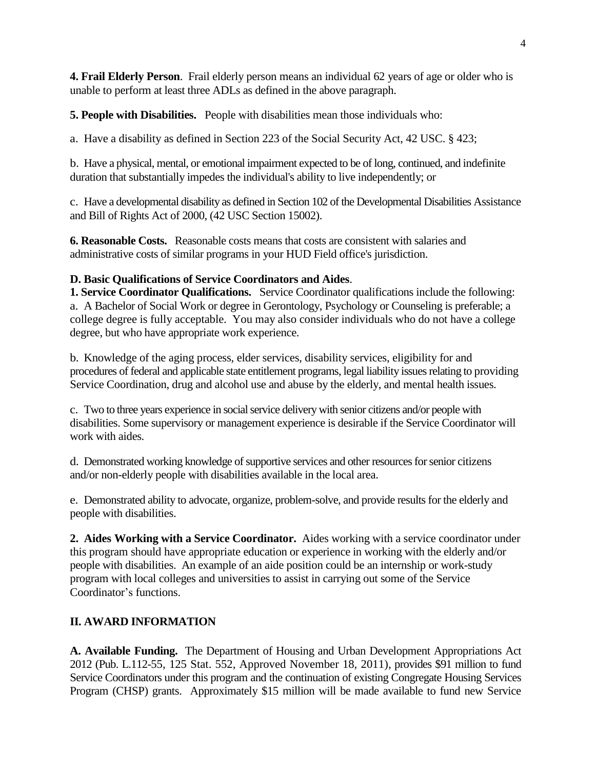**4. Frail Elderly Person**. Frail elderly person means an individual 62 years of age or older who is unable to perform at least three ADLs as defined in the above paragraph.

**5. People with Disabilities.** People with disabilities mean those individuals who:

a. Have a disability as defined in Section 223 of the Social Security Act, 42 USC. § 423;

b. Have a physical, mental, or emotional impairment expected to be of long, continued, and indefinite duration that substantially impedes the individual's ability to live independently; or

c. Have a developmental disability as defined in Section 102 of the Developmental Disabilities Assistance and Bill of Rights Act of 2000, (42 USC Section 15002).

**6. Reasonable Costs.** Reasonable costs means that costs are consistent with salaries and administrative costs of similar programs in your HUD Field office's jurisdiction.

#### **D. Basic Qualifications of Service Coordinators and Aides**.

**1. Service Coordinator Qualifications.** Service Coordinator qualifications include the following: a. A Bachelor of Social Work or degree in Gerontology, Psychology or Counseling is preferable; a college degree is fully acceptable. You may also consider individuals who do not have a college degree, but who have appropriate work experience.

b. Knowledge of the aging process, elder services, disability services, eligibility for and procedures of federal and applicable state entitlement programs, legal liability issues relating to providing Service Coordination, drug and alcohol use and abuse by the elderly, and mental health issues.

c. Two to three years experience in social service delivery with senior citizens and/or people with disabilities. Some supervisory or management experience is desirable if the Service Coordinator will work with aides.

d. Demonstrated working knowledge of supportive services and other resources for senior citizens and/or non-elderly people with disabilities available in the local area.

e. Demonstrated ability to advocate, organize, problem-solve, and provide results for the elderly and people with disabilities.

**2. Aides Working with a Service Coordinator.** Aides working with a service coordinator under this program should have appropriate education or experience in working with the elderly and/or people with disabilities. An example of an aide position could be an internship or work-study program with local colleges and universities to assist in carrying out some of the Service Coordinator's functions.

### **II. AWARD INFORMATION**

**A. Available Funding.** The Department of Housing and Urban Development Appropriations Act 2012 (Pub. L.112-55, 125 Stat. 552, Approved November 18, 2011), provides \$91 million to fund Service Coordinators under this program and the continuation of existing Congregate Housing Services Program (CHSP) grants. Approximately \$15 million will be made available to fund new Service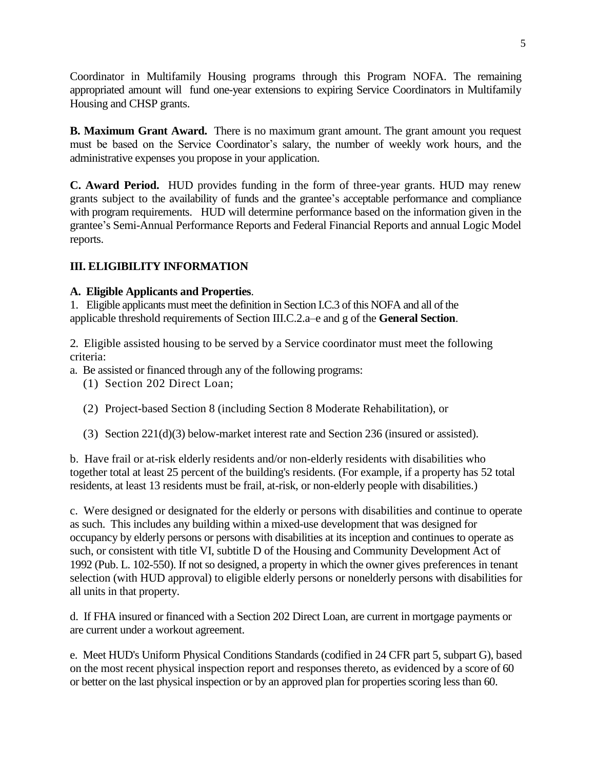Coordinator in Multifamily Housing programs through this Program NOFA. The remaining appropriated amount will fund one-year extensions to expiring Service Coordinators in Multifamily Housing and CHSP grants.

**B. Maximum Grant Award.** There is no maximum grant amount. The grant amount you request must be based on the Service Coordinator's salary, the number of weekly work hours, and the administrative expenses you propose in your application.

**C. Award Period.** HUD provides funding in the form of three-year grants. HUD may renew grants subject to the availability of funds and the grantee's acceptable performance and compliance with program requirements. HUD will determine performance based on the information given in the grantee's Semi-Annual Performance Reports and Federal Financial Reports and annual Logic Model reports.

### **III. ELIGIBILITY INFORMATION**

#### **A. Eligible Applicants and Properties**.

1. Eligible applicants must meet the definition in Section I.C.3 of this NOFA and all of the applicable threshold requirements of Section III.C.2.a–e and g of the **General Section**.

2. Eligible assisted housing to be served by a Service coordinator must meet the following criteria:

- a. Be assisted or financed through any of the following programs:
	- (1) Section 202 Direct Loan;
	- (2) Project-based Section 8 (including Section 8 Moderate Rehabilitation), or
	- (3) Section 221(d)(3) below-market interest rate and Section 236 (insured or assisted).

b. Have frail or at-risk elderly residents and/or non-elderly residents with disabilities who together total at least 25 percent of the building's residents. (For example, if a property has 52 total residents, at least 13 residents must be frail, at-risk, or non-elderly people with disabilities.)

c. Were designed or designated for the elderly or persons with disabilities and continue to operate as such. This includes any building within a mixed-use development that was designed for occupancy by elderly persons or persons with disabilities at its inception and continues to operate as such, or consistent with title VI, subtitle D of the Housing and Community Development Act of 1992 (Pub. L. 102-550). If not so designed, a property in which the owner gives preferences in tenant selection (with HUD approval) to eligible elderly persons or nonelderly persons with disabilities for all units in that property.

d. If FHA insured or financed with a Section 202 Direct Loan, are current in mortgage payments or are current under a workout agreement.

e. Meet HUD's Uniform Physical Conditions Standards (codified in 24 CFR part 5, subpart G), based on the most recent physical inspection report and responses thereto, as evidenced by a score of 60 or better on the last physical inspection or by an approved plan for properties scoring less than 60.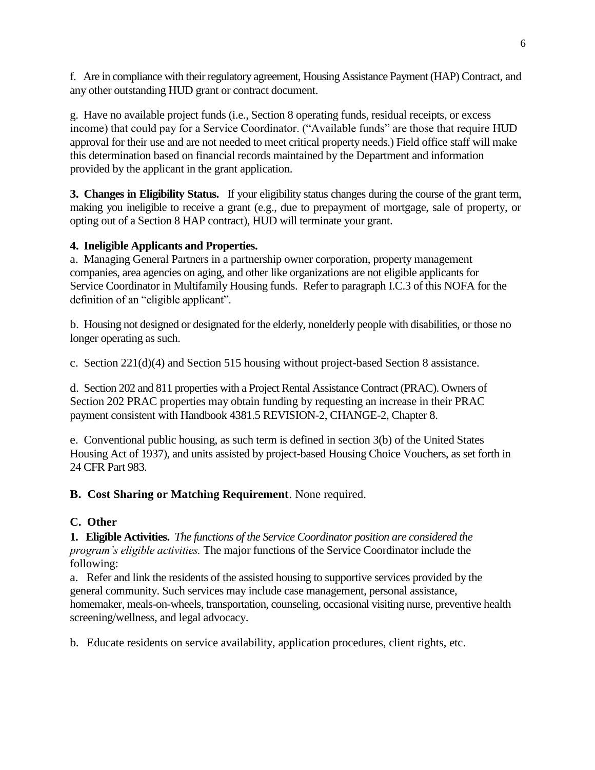f. Are in compliance with their regulatory agreement, Housing Assistance Payment (HAP) Contract, and any other outstanding HUD grant or contract document.

g. Have no available project funds (i.e., Section 8 operating funds, residual receipts, or excess income) that could pay for a Service Coordinator. ("Available funds" are those that require HUD approval for their use and are not needed to meet critical property needs.) Field office staff will make this determination based on financial records maintained by the Department and information provided by the applicant in the grant application.

**3. Changes in Eligibility Status.** If your eligibility status changes during the course of the grant term, making you ineligible to receive a grant (e.g., due to prepayment of mortgage, sale of property, or opting out of a Section 8 HAP contract), HUD will terminate your grant.

# **4. Ineligible Applicants and Properties.**

a. Managing General Partners in a partnership owner corporation, property management companies, area agencies on aging, and other like organizations are not eligible applicants for Service Coordinator in Multifamily Housing funds. Refer to paragraph I.C.3 of this NOFA for the definition of an "eligible applicant".

b. Housing not designed or designated for the elderly, nonelderly people with disabilities, or those no longer operating as such.

c. Section 221(d)(4) and Section 515 housing without project-based Section 8 assistance.

d. Section 202 and 811 properties with a Project Rental Assistance Contract (PRAC). Owners of Section 202 PRAC properties may obtain funding by requesting an increase in their PRAC payment consistent with Handbook 4381.5 REVISION-2, CHANGE-2, Chapter 8.

e. Conventional public housing, as such term is defined in section 3(b) of the United States Housing Act of 1937), and units assisted by project-based Housing Choice Vouchers, as set forth in 24 CFR Part 983.

### **B. Cost Sharing or Matching Requirement**. None required.

# **C. Other**

**1. Eligible Activities.** *The functions of the Service Coordinator position are considered the program's eligible activities.* The major functions of the Service Coordinator include the following:

a. Refer and link the residents of the assisted housing to supportive services provided by the general community. Such services may include case management, personal assistance, homemaker, meals-on-wheels, transportation, counseling, occasional visiting nurse, preventive health screening/wellness, and legal advocacy.

b. Educate residents on service availability, application procedures, client rights, etc.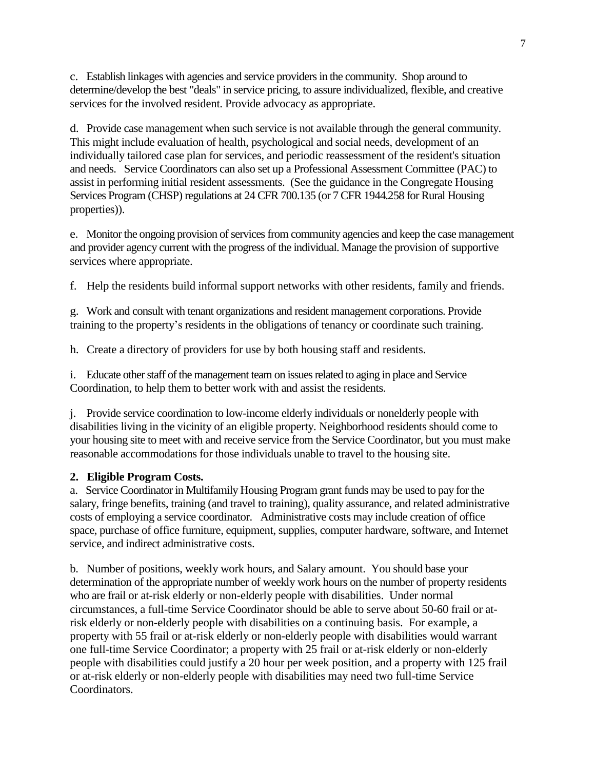c. Establish linkages with agencies and service providers in the community. Shop around to determine/develop the best "deals" in service pricing, to assure individualized, flexible, and creative services for the involved resident. Provide advocacy as appropriate.

d. Provide case management when such service is not available through the general community. This might include evaluation of health, psychological and social needs, development of an individually tailored case plan for services, and periodic reassessment of the resident's situation and needs. Service Coordinators can also set up a Professional Assessment Committee (PAC) to assist in performing initial resident assessments. (See the guidance in the Congregate Housing Services Program (CHSP) regulations at 24 CFR 700.135 (or 7 CFR 1944.258 for Rural Housing properties)).

e. Monitor the ongoing provision of services from community agencies and keep the case management and provider agency current with the progress of the individual. Manage the provision of supportive services where appropriate.

f. Help the residents build informal support networks with other residents, family and friends.

g. Work and consult with tenant organizations and resident management corporations. Provide training to the property's residents in the obligations of tenancy or coordinate such training.

h. Create a directory of providers for use by both housing staff and residents.

i. Educate other staff of the management team on issues related to aging in place and Service Coordination, to help them to better work with and assist the residents.

j. Provide service coordination to low-income elderly individuals or nonelderly people with disabilities living in the vicinity of an eligible property. Neighborhood residents should come to your housing site to meet with and receive service from the Service Coordinator, but you must make reasonable accommodations for those individuals unable to travel to the housing site.

#### **2. Eligible Program Costs.**

a. Service Coordinator in Multifamily Housing Program grant funds may be used to pay for the salary, fringe benefits, training (and travel to training), quality assurance, and related administrative costs of employing a service coordinator. Administrative costs may include creation of office space, purchase of office furniture, equipment, supplies, computer hardware, software, and Internet service, and indirect administrative costs.

b. Number of positions, weekly work hours, and Salary amount. You should base your determination of the appropriate number of weekly work hours on the number of property residents who are frail or at-risk elderly or non-elderly people with disabilities. Under normal circumstances, a full-time Service Coordinator should be able to serve about 50-60 frail or atrisk elderly or non-elderly people with disabilities on a continuing basis. For example, a property with 55 frail or at-risk elderly or non-elderly people with disabilities would warrant one full-time Service Coordinator; a property with 25 frail or at-risk elderly or non-elderly people with disabilities could justify a 20 hour per week position, and a property with 125 frail or at-risk elderly or non-elderly people with disabilities may need two full-time Service Coordinators.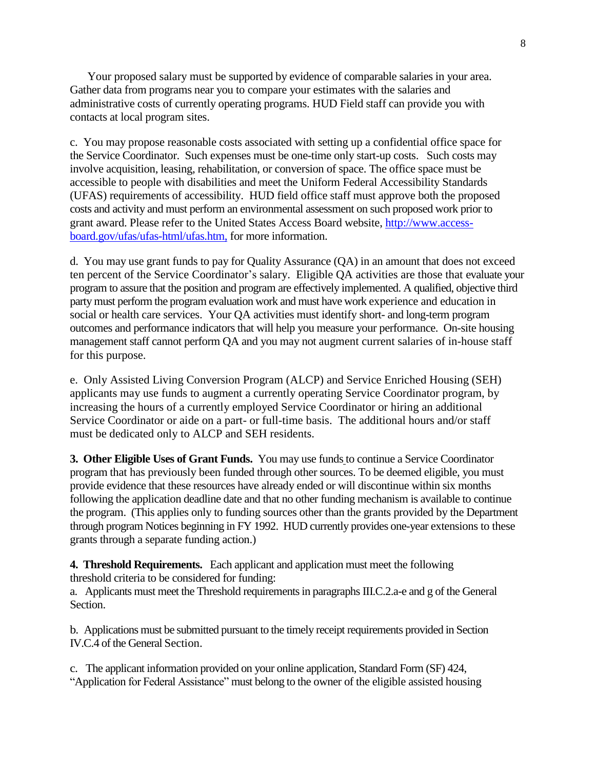Your proposed salary must be supported by evidence of comparable salaries in your area. Gather data from programs near you to compare your estimates with the salaries and administrative costs of currently operating programs. HUD Field staff can provide you with contacts at local program sites.

c. You may propose reasonable costs associated with setting up a confidential office space for the Service Coordinator. Such expenses must be one-time only start-up costs. Such costs may involve acquisition, leasing, rehabilitation, or conversion of space. The office space must be accessible to people with disabilities and meet the Uniform Federal Accessibility Standards (UFAS) requirements of accessibility. HUD field office staff must approve both the proposed costs and activity and must perform an environmental assessment on such proposed work prior to grant award. Please refer to the United States Access Board website, [http://www.access](http://www.access-board.gov/ufas/ufas-html/ufas.htm,)[board.gov/ufas/ufas-html/ufas.htm,](http://www.access-board.gov/ufas/ufas-html/ufas.htm,) for more information.

d. You may use grant funds to pay for Quality Assurance (QA) in an amount that does not exceed ten percent of the Service Coordinator's salary. Eligible QA activities are those that evaluate your program to assure that the position and program are effectively implemented. A qualified, objective third party must perform the program evaluation work and must have work experience and education in social or health care services. Your QA activities must identify short- and long-term program outcomes and performance indicators that will help you measure your performance. On-site housing management staff cannot perform QA and you may not augment current salaries of in-house staff for this purpose.

e. Only Assisted Living Conversion Program (ALCP) and Service Enriched Housing (SEH) applicants may use funds to augment a currently operating Service Coordinator program, by increasing the hours of a currently employed Service Coordinator or hiring an additional Service Coordinator or aide on a part- or full-time basis. The additional hours and/or staff must be dedicated only to ALCP and SEH residents.

**3. Other Eligible Uses of Grant Funds.** You may use funds to continue a Service Coordinator program that has previously been funded through other sources. To be deemed eligible, you must provide evidence that these resources have already ended or will discontinue within six months following the application deadline date and that no other funding mechanism is available to continue the program. (This applies only to funding sources other than the grants provided by the Department through program Notices beginning in FY 1992. HUD currently provides one-year extensions to these grants through a separate funding action.)

**4. Threshold Requirements.** Each applicant and application must meet the following threshold criteria to be considered for funding:

a. Applicants must meet the Threshold requirements in paragraphs III.C.2.a-e and g of the General Section.

b. Applications must be submitted pursuant to the timely receipt requirements provided in Section IV.C.4 of the General Section.

c. The applicant information provided on your online application, Standard Form (SF) 424, "Application for Federal Assistance" must belong to the owner of the eligible assisted housing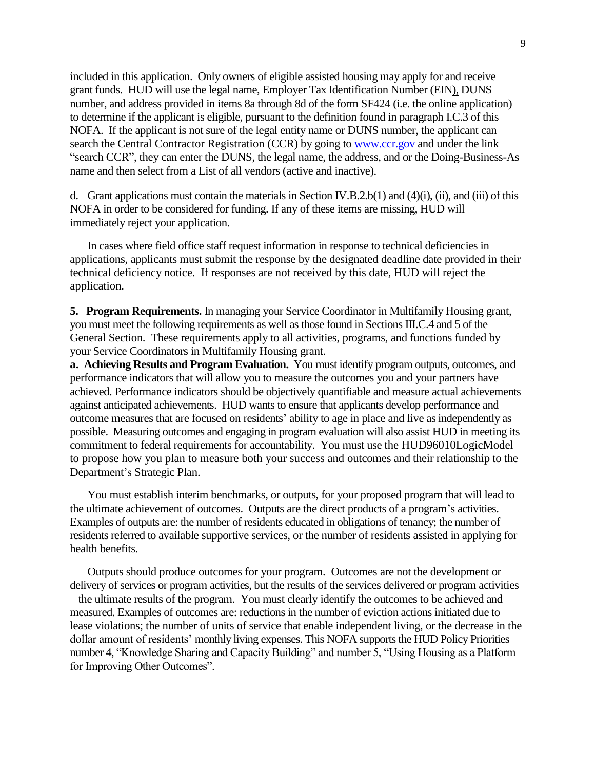included in this application. Only owners of eligible assisted housing may apply for and receive grant funds. HUD will use the legal name, Employer Tax Identification Number (EIN), DUNS number, and address provided in items 8a through 8d of the form SF424 (i.e. the online application) to determine if the applicant is eligible, pursuant to the definition found in paragraph I.C.3 of this NOFA. If the applicant is not sure of the legal entity name or DUNS number, the applicant can search the Central Contractor Registration (CCR) by going t[o www.ccr.gov](http://www.ccr.gov/) and under the link "search CCR", they can enter the DUNS, the legal name, the address, and or the Doing-Business-As name and then select from a List of all vendors (active and inactive).

d. Grant applications must contain the materials in Section IV.B.2.b(1) and  $(4)(i)$ , (ii), and (iii) of this NOFA in order to be considered for funding. If any of these items are missing, HUD will immediately reject your application.

In cases where field office staff request information in response to technical deficiencies in applications, applicants must submit the response by the designated deadline date provided in their technical deficiency notice. If responses are not received by this date, HUD will reject the application.

**5. Program Requirements.** In managing your Service Coordinator in Multifamily Housing grant, you must meet the following requirements as well as those found in Sections III.C.4 and 5 of the General Section. These requirements apply to all activities, programs, and functions funded by your Service Coordinators in Multifamily Housing grant.

**a. Achieving Results and Program Evaluation.** You must identify program outputs, outcomes, and performance indicators that will allow you to measure the outcomes you and your partners have achieved. Performance indicators should be objectively quantifiable and measure actual achievements against anticipated achievements. HUD wants to ensure that applicants develop performance and outcome measures that are focused on residents' ability to age in place and live as independently as possible. Measuring outcomes and engaging in program evaluation will also assist HUD in meeting its commitment to federal requirements for accountability. You must use the HUD96010LogicModel to propose how you plan to measure both your success and outcomes and their relationship to the Department's Strategic Plan.

You must establish interim benchmarks, or outputs, for your proposed program that will lead to the ultimate achievement of outcomes. Outputs are the direct products of a program's activities. Examples of outputs are: the number of residents educated in obligations of tenancy; the number of residents referred to available supportive services, or the number of residents assisted in applying for health benefits.

Outputs should produce outcomes for your program. Outcomes are not the development or delivery of services or program activities, but the results of the services delivered or program activities – the ultimate results of the program. You must clearly identify the outcomes to be achieved and measured. Examples of outcomes are: reductions in the number of eviction actions initiated due to lease violations; the number of units of service that enable independent living, or the decrease in the dollar amount of residents' monthly living expenses. This NOFA supports the HUD Policy Priorities number 4, "Knowledge Sharing and Capacity Building" and number 5, "Using Housing as a Platform for Improving Other Outcomes".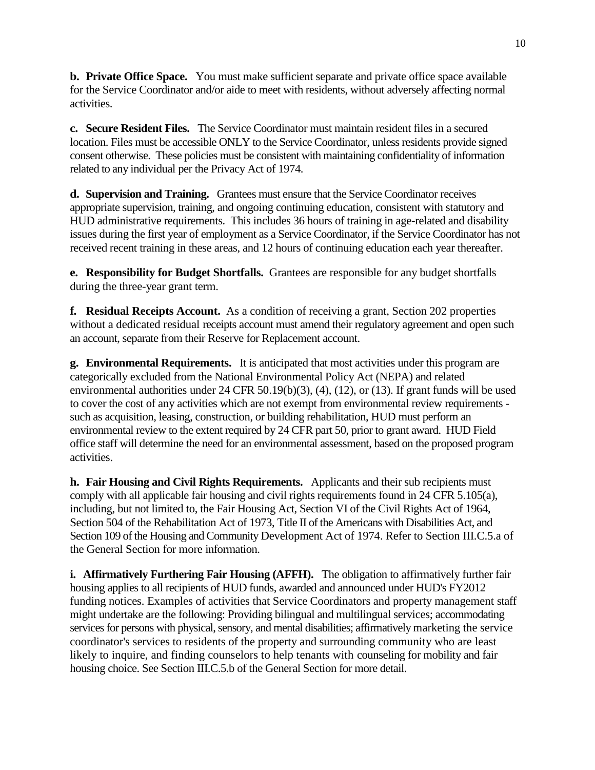**b. Private Office Space.** You must make sufficient separate and private office space available for the Service Coordinator and/or aide to meet with residents, without adversely affecting normal activities.

**c. Secure Resident Files.** The Service Coordinator must maintain resident files in a secured location. Files must be accessible ONLY to the Service Coordinator, unless residents provide signed consent otherwise. These policies must be consistent with maintaining confidentiality of information related to any individual per the Privacy Act of 1974.

**d. Supervision and Training.** Grantees must ensure that the Service Coordinator receives appropriate supervision, training, and ongoing continuing education, consistent with statutory and HUD administrative requirements. This includes 36 hours of training in age-related and disability issues during the first year of employment as a Service Coordinator, if the Service Coordinator has not received recent training in these areas, and 12 hours of continuing education each year thereafter.

**e. Responsibility for Budget Shortfalls.** Grantees are responsible for any budget shortfalls during the three-year grant term.

**f. Residual Receipts Account.** As a condition of receiving a grant, Section 202 properties without a dedicated residual receipts account must amend their regulatory agreement and open such an account, separate from their Reserve for Replacement account.

**g. Environmental Requirements.** It is anticipated that most activities under this program are categorically excluded from the National Environmental Policy Act (NEPA) and related environmental authorities under 24 CFR 50.19(b)(3), (4), (12), or (13). If grant funds will be used to cover the cost of any activities which are not exempt from environmental review requirements such as acquisition, leasing, construction, or building rehabilitation, HUD must perform an environmental review to the extent required by 24 CFR part 50, prior to grant award. HUD Field office staff will determine the need for an environmental assessment, based on the proposed program activities.

**h. Fair Housing and Civil Rights Requirements.** Applicants and their sub recipients must comply with all applicable fair housing and civil rights requirements found in 24 CFR 5.105(a), including, but not limited to, the Fair Housing Act, Section VI of the Civil Rights Act of 1964, Section 504 of the Rehabilitation Act of 1973, Title II of the Americans with Disabilities Act, and Section 109 of the Housing and Community Development Act of 1974. Refer to Section III.C.5.a of the General Section for more information.

**i. Affirmatively Furthering Fair Housing (AFFH).** The obligation to affirmatively further fair housing applies to all recipients of HUD funds, awarded and announced under HUD's FY2012 funding notices. Examples of activities that Service Coordinators and property management staff might undertake are the following: Providing bilingual and multilingual services; accommodating services for persons with physical, sensory, and mental disabilities; affirmatively marketing the service coordinator's services to residents of the property and surrounding community who are least likely to inquire, and finding counselors to help tenants with counseling for mobility and fair housing choice. See Section III.C.5.b of the General Section for more detail.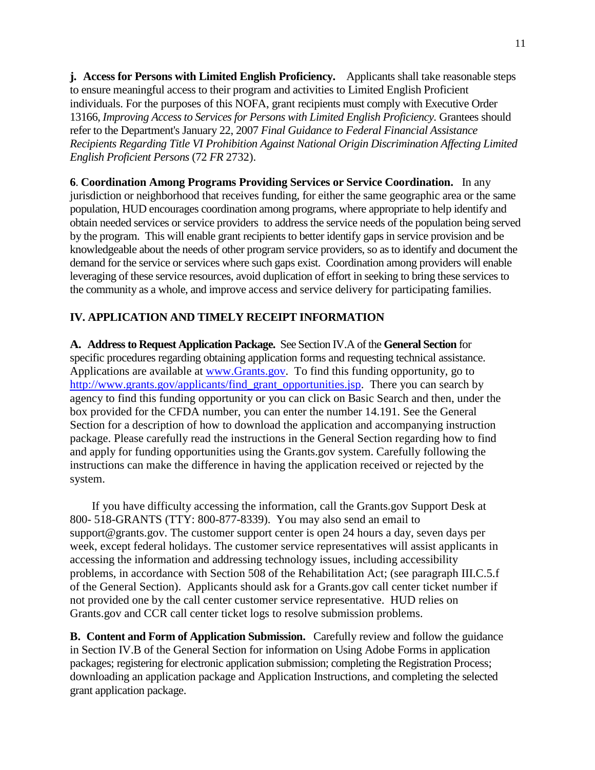**j. Access for Persons with Limited English Proficiency.** Applicants shall take reasonable steps to ensure meaningful access to their program and activities to Limited English Proficient individuals. For the purposes of this NOFA, grant recipients must comply with Executive Order 13166, *Improving Access to Services for Persons with Limited English Proficiency.* Grantees should refer to the Department's January 22, 2007 *Final Guidance to Federal Financial Assistance Recipients Regarding Title VI Prohibition Against National Origin Discrimination Affecting Limited English Proficient Persons* (72 *FR* 2732).

**6**. **Coordination Among Programs Providing Services or Service Coordination.** In any jurisdiction or neighborhood that receives funding, for either the same geographic area or the same population, HUD encourages coordination among programs, where appropriate to help identify and obtain needed services or service providers to address the service needs of the population being served by the program. This will enable grant recipients to better identify gaps in service provision and be knowledgeable about the needs of other program service providers, so as to identify and document the demand for the service or services where such gaps exist. Coordination among providers will enable leveraging of these service resources, avoid duplication of effort in seeking to bring these services to the community as a whole, and improve access and service delivery for participating families.

#### **IV. APPLICATION AND TIMELY RECEIPT INFORMATION**

**A. Address to Request Application Package.** See Section IV.A of the **General Section** for specific procedures regarding obtaining application forms and requesting technical assistance. Applications are available at [www.Grants.gov.](http://www.grants.gov/) To find this funding opportunity, go to [http://www.grants.gov/applicants/find\\_grant\\_opportunities.jsp.](http://www.grants.gov/applicants/find_grant_opportunities.jsp) There you can search by agency to find this funding opportunity or you can click on Basic Search and then, under the box provided for the CFDA number, you can enter the number 14.191. See the General Section for a description of how to download the application and accompanying instruction package. Please carefully read the instructions in the General Section regarding how to find and apply for funding opportunities using the Grants.gov system. Carefully following the instructions can make the difference in having the application received or rejected by the system.

If you have difficulty accessing the information, call the Grants.gov Support Desk at 800- 518-GRANTS (TTY: 800-877-8339). You may also send an email to support@grants.gov. The customer support center is open 24 hours a day, seven days per week, except federal holidays. The customer service representatives will assist applicants in accessing the information and addressing technology issues, including accessibility problems, in accordance with Section 508 of the Rehabilitation Act; (see paragraph III.C.5.f of the General Section). Applicants should ask for a Grants.gov call center ticket number if not provided one by the call center customer service representative. HUD relies on Grants.gov and CCR call center ticket logs to resolve submission problems.

**B. Content and Form of Application Submission.** Carefully review and follow the guidance in Section IV.B of the General Section for information on Using Adobe Forms in application packages; registering for electronic application submission; completing the Registration Process; downloading an application package and Application Instructions, and completing the selected grant application package.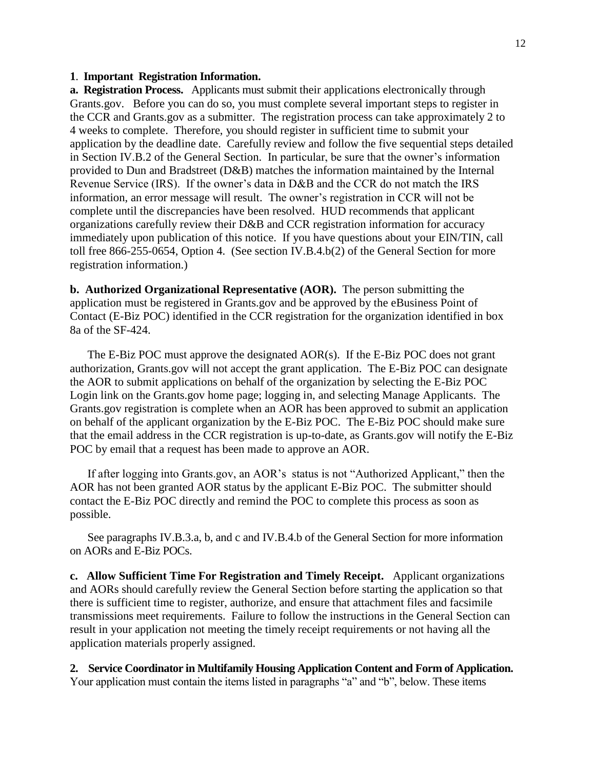#### **1**. **Important Registration Information.**

**a. Registration Process.** Applicants must submit their applications electronically through Grants.gov. Before you can do so, you must complete several important steps to register in the CCR and Grants.gov as a submitter. The registration process can take approximately 2 to 4 weeks to complete. Therefore, you should register in sufficient time to submit your application by the deadline date. Carefully review and follow the five sequential steps detailed in Section IV.B.2 of the General Section. In particular, be sure that the owner's information provided to Dun and Bradstreet (D&B) matches the information maintained by the Internal Revenue Service (IRS). If the owner's data in D&B and the CCR do not match the IRS information, an error message will result. The owner's registration in CCR will not be complete until the discrepancies have been resolved. HUD recommends that applicant organizations carefully review their D&B and CCR registration information for accuracy immediately upon publication of this notice. If you have questions about your EIN/TIN, call toll free 866-255-0654, Option 4. (See section IV.B.4.b(2) of the General Section for more registration information.)

**b. Authorized Organizational Representative (AOR).** The person submitting the application must be registered in Grants.gov and be approved by the eBusiness Point of Contact (E-Biz POC) identified in the CCR registration for the organization identified in box 8a of the SF-424.

The E-Biz POC must approve the designated AOR(s). If the E-Biz POC does not grant authorization, Grants.gov will not accept the grant application. The E-Biz POC can designate the AOR to submit applications on behalf of the organization by selecting the E-Biz POC Login link on the Grants.gov home page; logging in, and selecting Manage Applicants. The Grants.gov registration is complete when an AOR has been approved to submit an application on behalf of the applicant organization by the E-Biz POC. The E-Biz POC should make sure that the email address in the CCR registration is up-to-date, as Grants.gov will notify the E-Biz POC by email that a request has been made to approve an AOR.

If after logging into Grants.gov, an AOR's status is not "Authorized Applicant," then the AOR has not been granted AOR status by the applicant E-Biz POC. The submitter should contact the E-Biz POC directly and remind the POC to complete this process as soon as possible.

See paragraphs IV.B.3.a, b, and c and IV.B.4.b of the General Section for more information on AORs and E-Biz POCs.

**c. Allow Sufficient Time For Registration and Timely Receipt.** Applicant organizations and AORs should carefully review the General Section before starting the application so that there is sufficient time to register, authorize, and ensure that attachment files and facsimile transmissions meet requirements. Failure to follow the instructions in the General Section can result in your application not meeting the timely receipt requirements or not having all the application materials properly assigned.

**2. Service Coordinator in Multifamily Housing Application Content and Form of Application.**  Your application must contain the items listed in paragraphs "a" and "b", below. These items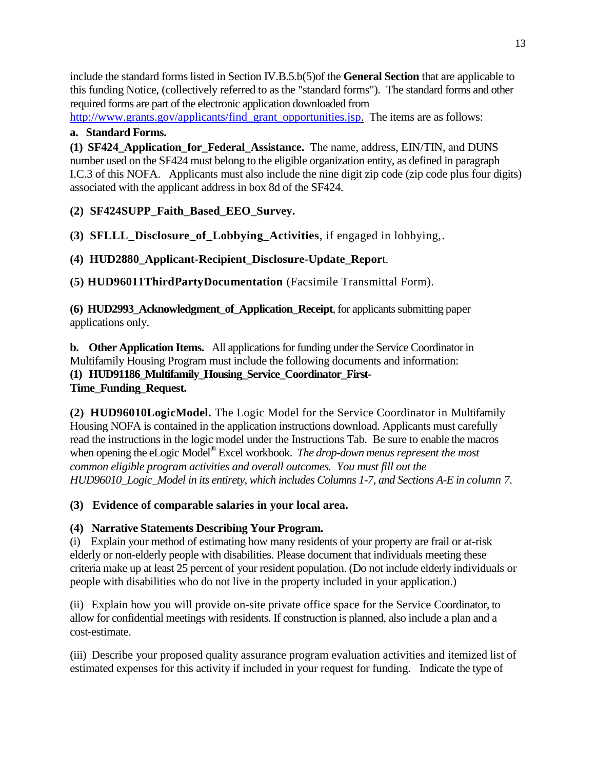include the standard forms listed in Section IV.B.5.b(5)of the **General Section** that are applicable to this funding Notice, (collectively referred to as the "standard forms"). The standard forms and other required forms are part of the electronic application downloaded from

[http://www.grants.gov/applicants/find\\_grant\\_opportunities.jsp.](http://www.grants.gov/applicants/find_grant_opportunities.jsp) The items are as follows:

# **a. Standard Forms.**

**(1) SF424\_Application\_for\_Federal\_Assistance.** The name, address, EIN/TIN, and DUNS number used on the SF424 must belong to the eligible organization entity, as defined in paragraph I.C.3 of this NOFA. Applicants must also include the nine digit zip code (zip code plus four digits) associated with the applicant address in box 8d of the SF424.

**(2) SF424SUPP\_Faith\_Based\_EEO\_Survey.**

**(3) SFLLL\_Disclosure\_of\_Lobbying\_Activities**, if engaged in lobbying,.

**(4) HUD2880\_Applicant-Recipient\_Disclosure-Update\_Repor**t.

**(5) HUD96011ThirdPartyDocumentation** (Facsimile Transmittal Form).

**(6) HUD2993\_Acknowledgment\_of\_Application\_Receipt**, for applicants submitting paper applications only.

**b. Other Application Items.** All applications for funding under the Service Coordinator in Multifamily Housing Program must include the following documents and information: **(1) HUD91186\_Multifamily\_Housing\_Service\_Coordinator\_First-Time\_Funding\_Request.**

**(2) HUD96010LogicModel.** The Logic Model for the Service Coordinator in Multifamily Housing NOFA is contained in the application instructions download. Applicants must carefully read the instructions in the logic model under the Instructions Tab. Be sure to enable the macros when opening the eLogic Model® Excel workbook. *The drop-down menus represent the most common eligible program activities and overall outcomes. You must fill out the HUD96010\_Logic\_Model in its entirety, which includes Columns 1-7, and Sections A-E in column 7.*

**(3) Evidence of comparable salaries in your local area.**

# **(4) Narrative Statements Describing Your Program.**

(i) Explain your method of estimating how many residents of your property are frail or at-risk elderly or non-elderly people with disabilities. Please document that individuals meeting these criteria make up at least 25 percent of your resident population. (Do not include elderly individuals or people with disabilities who do not live in the property included in your application.)

(ii) Explain how you will provide on-site private office space for the Service Coordinator, to allow for confidential meetings with residents. If construction is planned, also include a plan and a cost-estimate.

(iii) Describe your proposed quality assurance program evaluation activities and itemized list of estimated expenses for this activity if included in your request for funding. Indicate the type of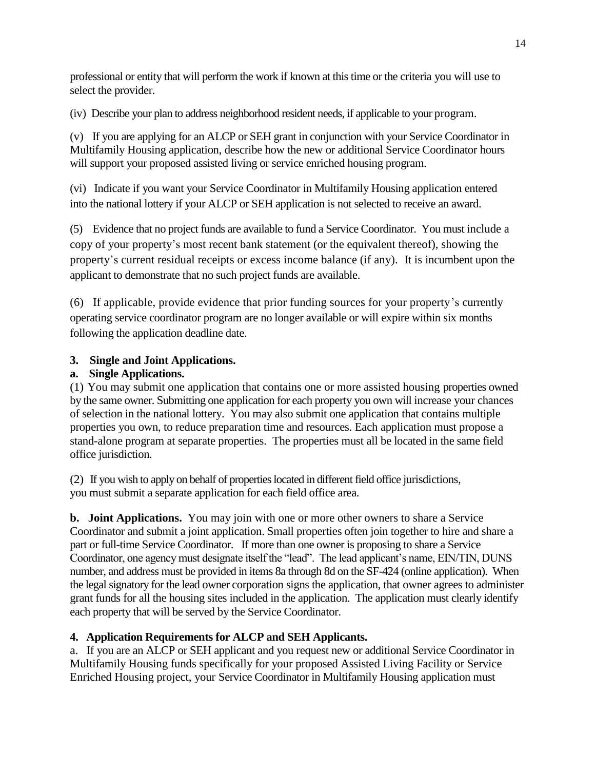professional or entity that will perform the work if known at this time or the criteria you will use to select the provider.

(iv) Describe your plan to address neighborhood resident needs, if applicable to your program.

(v) If you are applying for an ALCP or SEH grant in conjunction with your Service Coordinator in Multifamily Housing application, describe how the new or additional Service Coordinator hours will support your proposed assisted living or service enriched housing program.

(vi) Indicate if you want your Service Coordinator in Multifamily Housing application entered into the national lottery if your ALCP or SEH application is not selected to receive an award.

(5) Evidence that no project funds are available to fund a Service Coordinator. You must include a copy of your property's most recent bank statement (or the equivalent thereof), showing the property's current residual receipts or excess income balance (if any). It is incumbent upon the applicant to demonstrate that no such project funds are available.

(6) If applicable, provide evidence that prior funding sources for your property's currently operating service coordinator program are no longer available or will expire within six months following the application deadline date.

# **3. Single and Joint Applications.**

# **a. Single Applications.**

(1) You may submit one application that contains one or more assisted housing properties owned by the same owner. Submitting one application for each property you own will increase your chances of selection in the national lottery. You may also submit one application that contains multiple properties you own, to reduce preparation time and resources. Each application must propose a stand-alone program at separate properties. The properties must all be located in the same field office jurisdiction.

(2) If you wish to apply on behalf of properties located in different field office jurisdictions, you must submit a separate application for each field office area.

**b. Joint Applications.** You may join with one or more other owners to share a Service Coordinator and submit a joint application. Small properties often join together to hire and share a part or full-time Service Coordinator. If more than one owner is proposing to share a Service Coordinator, one agency must designate itself the "lead". The lead applicant's name, EIN/TIN, DUNS number, and address must be provided in items 8a through 8d on the SF-424 (online application). When the legal signatory for the lead owner corporation signs the application, that owner agrees to administer grant funds for all the housing sites included in the application. The application must clearly identify each property that will be served by the Service Coordinator.

### **4. Application Requirements for ALCP and SEH Applicants.**

a. If you are an ALCP or SEH applicant and you request new or additional Service Coordinator in Multifamily Housing funds specifically for your proposed Assisted Living Facility or Service Enriched Housing project, your Service Coordinator in Multifamily Housing application must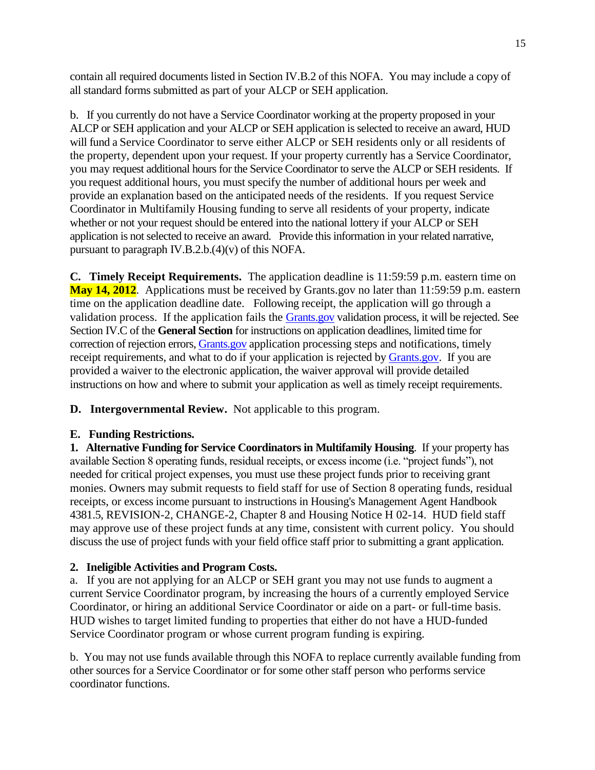contain all required documents listed in Section IV.B.2 of this NOFA. You may include a copy of all standard forms submitted as part of your ALCP or SEH application.

b. If you currently do not have a Service Coordinator working at the property proposed in your ALCP or SEH application and your ALCP or SEH application is selected to receive an award, HUD will fund a Service Coordinator to serve either ALCP or SEH residents only or all residents of the property, dependent upon your request. If your property currently has a Service Coordinator, you may request additional hours for the Service Coordinator to serve the ALCP or SEH residents. If you request additional hours, you must specify the number of additional hours per week and provide an explanation based on the anticipated needs of the residents. If you request Service Coordinator in Multifamily Housing funding to serve all residents of your property, indicate whether or not your request should be entered into the national lottery if your ALCP or SEH application is not selected to receive an award. Provide this information in your related narrative, pursuant to paragraph IV.B.2.b.(4)(v) of this NOFA.

**C. Timely Receipt Requirements.** The application deadline is 11:59:59 p.m. eastern time on **May 14, 2012**. Applications must be received by Grants.gov no later than 11:59:59 p.m. eastern time on the application deadline date. Following receipt, the application will go through a validation process. If the application fails the [Grants.gov](http://grants.gov/) validation process, it will be rejected. See Section IV.C of the **General Section** for instructions on application deadlines, limited time for correction of rejection errors[, Grants.gov](http://grants.gov/) application processing steps and notifications, timely receipt requirements, and what to do if your application is rejected by [Grants.gov.](http://grants.gov/) If you are provided a waiver to the electronic application, the waiver approval will provide detailed instructions on how and where to submit your application as well as timely receipt requirements.

**D. Intergovernmental Review.** Not applicable to this program.

### **E. Funding Restrictions.**

**1. Alternative Funding for Service Coordinators in Multifamily Housing**. If your property has available Section 8 operating funds, residual receipts, or excess income (i.e. "project funds"), not needed for critical project expenses, you must use these project funds prior to receiving grant monies. Owners may submit requests to field staff for use of Section 8 operating funds, residual receipts, or excess income pursuant to instructions in Housing's Management Agent Handbook 4381.5, REVISION-2, CHANGE-2, Chapter 8 and Housing Notice H 02-14. HUD field staff may approve use of these project funds at any time, consistent with current policy. You should discuss the use of project funds with your field office staff prior to submitting a grant application.

# **2. Ineligible Activities and Program Costs.**

a. If you are not applying for an ALCP or SEH grant you may not use funds to augment a current Service Coordinator program, by increasing the hours of a currently employed Service Coordinator, or hiring an additional Service Coordinator or aide on a part- or full-time basis. HUD wishes to target limited funding to properties that either do not have a HUD-funded Service Coordinator program or whose current program funding is expiring.

b. You may not use funds available through this NOFA to replace currently available funding from other sources for a Service Coordinator or for some other staff person who performs service coordinator functions.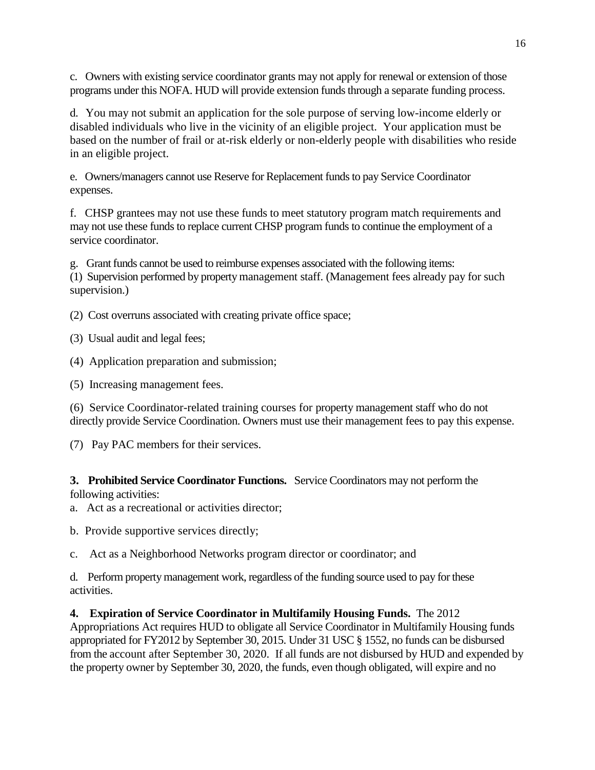c. Owners with existing service coordinator grants may not apply for renewal or extension of those programs under this NOFA. HUD will provide extension funds through a separate funding process.

d.You may not submit an application for the sole purpose of serving low-income elderly or disabled individuals who live in the vicinity of an eligible project. Your application must be based on the number of frail or at-risk elderly or non-elderly people with disabilities who reside in an eligible project.

e.Owners/managers cannot use Reserve for Replacement funds to pay Service Coordinator expenses.

f. CHSP grantees may not use these funds to meet statutory program match requirements and may not use these funds to replace current CHSP program funds to continue the employment of a service coordinator.

g. Grant funds cannot be used to reimburse expenses associated with the following items: (1) Supervision performed by property management staff. (Management fees already pay for such supervision.)

(2) Cost overruns associated with creating private office space;

(3) Usual audit and legal fees;

(4) Application preparation and submission;

(5) Increasing management fees.

(6) Service Coordinator-related training courses for property management staff who do not directly provide Service Coordination. Owners must use their management fees to pay this expense.

(7) Pay PAC members for their services.

**3. Prohibited Service Coordinator Functions.** Service Coordinators may not perform the following activities:

a. Act as a recreational or activities director;

b. Provide supportive services directly;

c. Act as a Neighborhood Networks program director or coordinator; and

d. Perform property management work, regardless of the funding source used to pay for these activities.

**4. Expiration of Service Coordinator in Multifamily Housing Funds.** The 2012 Appropriations Act requires HUD to obligate all Service Coordinator in Multifamily Housing funds appropriated for FY2012 by September 30, 2015. Under 31 USC § 1552, no funds can be disbursed from the account after September 30, 2020. If all funds are not disbursed by HUD and expended by the property owner by September 30, 2020, the funds, even though obligated, will expire and no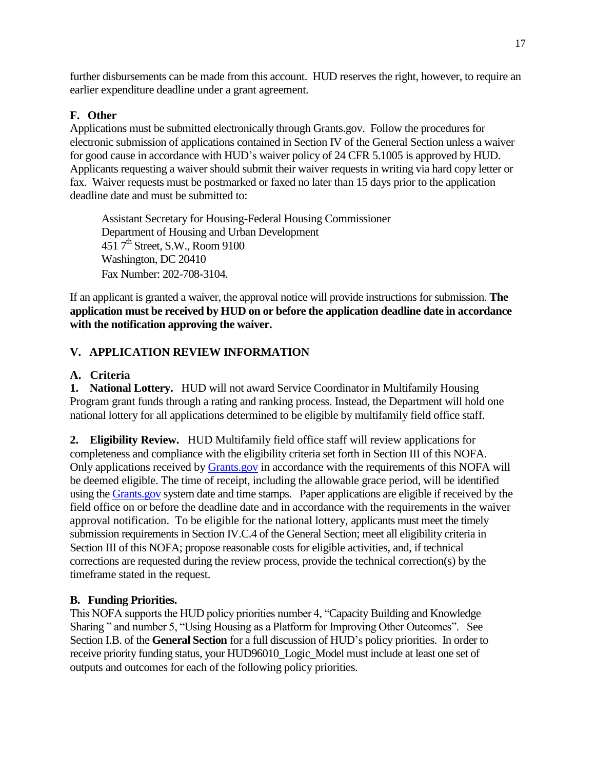further disbursements can be made from this account. HUD reserves the right, however, to require an earlier expenditure deadline under a grant agreement.

## **F. Other**

Applications must be submitted electronically through Grants.gov. Follow the procedures for electronic submission of applications contained in Section IV of the General Section unless a waiver for good cause in accordance with HUD's waiver policy of 24 CFR 5.1005 is approved by HUD. Applicants requesting a waiver should submit their waiver requests in writing via hard copy letter or fax. Waiver requests must be postmarked or faxed no later than 15 days prior to the application deadline date and must be submitted to:

Assistant Secretary for Housing-Federal Housing Commissioner Department of Housing and Urban Development 451 7<sup>th</sup> Street, S.W., Room 9100 Washington, DC 20410 Fax Number: 202-708-3104.

If an applicant is granted a waiver, the approval notice will provide instructions for submission. **The application must be received by HUD on or before the application deadline date in accordance with the notification approving the waiver.**

# **V. APPLICATION REVIEW INFORMATION**

### **A. Criteria**

**1. National Lottery.** HUD will not award Service Coordinator in Multifamily Housing Program grant funds through a rating and ranking process. Instead, the Department will hold one national lottery for all applications determined to be eligible by multifamily field office staff.

**2. Eligibility Review.** HUD Multifamily field office staff will review applications for completeness and compliance with the eligibility criteria set forth in Section III of this NOFA. Only applications received by [Grants.gov](http://grants.gov/) in accordance with the requirements of this NOFA will be deemed eligible. The time of receipt, including the allowable grace period, will be identified using th[e Grants.gov](http://grants.gov/) system date and time stamps. Paper applications are eligible if received by the field office on or before the deadline date and in accordance with the requirements in the waiver approval notification. To be eligible for the national lottery, applicants must meet the timely submission requirements in Section IV.C.4 of the General Section; meet all eligibility criteria in Section III of this NOFA; propose reasonable costs for eligible activities, and, if technical corrections are requested during the review process, provide the technical correction(s) by the timeframe stated in the request.

### **B. Funding Priorities.**

This NOFA supports the HUD policy priorities number 4, "Capacity Building and Knowledge Sharing " and number 5, "Using Housing as a Platform for Improving Other Outcomes". See Section I.B. of the **General Section** for a full discussion of HUD's policy priorities. In order to receive priority funding status, your HUD96010\_Logic\_Model must include at least one set of outputs and outcomes for each of the following policy priorities.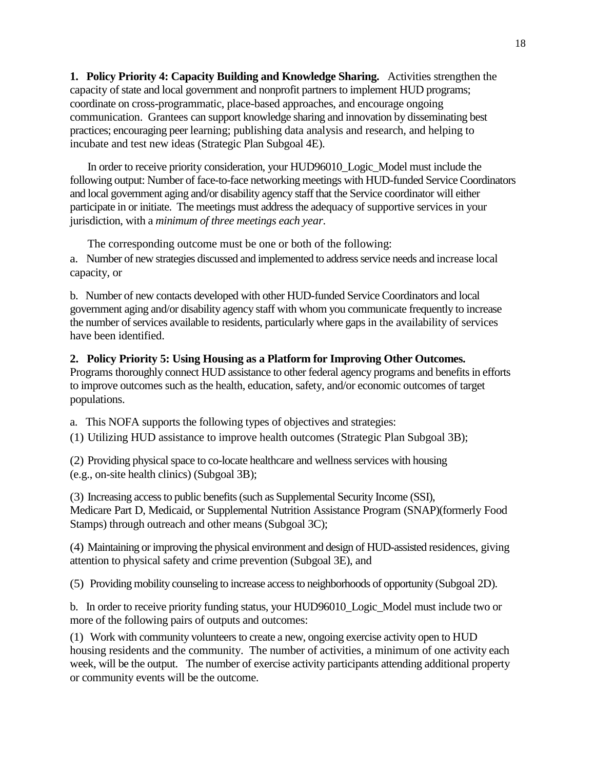**1. Policy Priority 4: Capacity Building and Knowledge Sharing.** Activities strengthen the capacity of state and local government and nonprofit partners to implement HUD programs; coordinate on cross-programmatic, place-based approaches, and encourage ongoing communication. Grantees can support knowledge sharing and innovation by disseminating best practices; encouraging peer learning; publishing data analysis and research, and helping to incubate and test new ideas (Strategic Plan Subgoal 4E).

In order to receive priority consideration, your HUD96010\_Logic\_Model must include the following output: Number of face-to-face networking meetings with HUD-funded Service Coordinators and local government aging and/or disability agency staff that the Service coordinator will either participate in or initiate. The meetings must address the adequacy of supportive services in your jurisdiction, with a *minimum of three meetings each year.*

The corresponding outcome must be one or both of the following: a. Number of new strategies discussed and implemented to address service needs and increase local capacity, or

b. Number of new contacts developed with other HUD-funded Service Coordinators and local government aging and/or disability agency staff with whom you communicate frequently to increase the number of services available to residents, particularly where gaps in the availability of services have been identified.

#### **2. Policy Priority 5: Using Housing as a Platform for Improving Other Outcomes.**

Programs thoroughly connect HUD assistance to other federal agency programs and benefits in efforts to improve outcomes such as the health, education, safety, and/or economic outcomes of target populations.

a. This NOFA supports the following types of objectives and strategies:

(1) Utilizing HUD assistance to improve health outcomes (Strategic Plan Subgoal 3B);

(2) Providing physical space to co-locate healthcare and wellness services with housing (e.g., on-site health clinics) (Subgoal 3B);

(3) Increasing access to public benefits (such as Supplemental Security Income (SSI), Medicare Part D, Medicaid, or Supplemental Nutrition Assistance Program (SNAP)(formerly Food Stamps) through outreach and other means (Subgoal 3C);

(4) Maintaining or improving the physical environment and design of HUD-assisted residences, giving attention to physical safety and crime prevention (Subgoal 3E), and

(5) Providing mobility counseling to increase access to neighborhoods of opportunity (Subgoal 2D).

b. In order to receive priority funding status, your HUD96010\_Logic\_Model must include two or more of the following pairs of outputs and outcomes:

(1) Work with community volunteers to create a new, ongoing exercise activity open to HUD housing residents and the community. The number of activities, a minimum of one activity each week, will be the output. The number of exercise activity participants attending additional property or community events will be the outcome.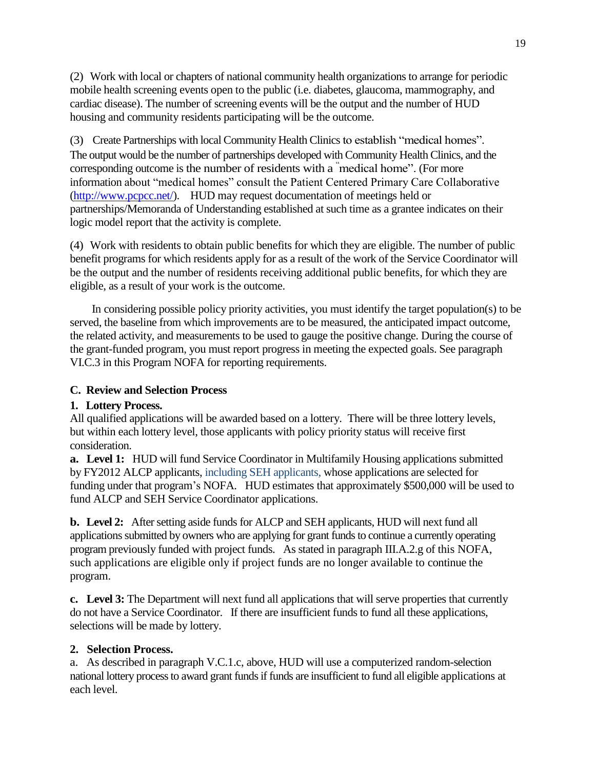(2) Work with local or chapters of national community health organizations to arrange for periodic mobile health screening events open to the public (i.e. diabetes, glaucoma, mammography, and cardiac disease). The number of screening events will be the output and the number of HUD housing and community residents participating will be the outcome.

(3) Create Partnerships with local Community Health Clinics to establish "medical homes". The output would be the number of partnerships developed with Community Health Clinics, and the corresponding outcome is the number of residents with a "medical home". (For more information about "medical homes" consult the Patient Centered Primary Care Collaborative [\(http://www.pcpcc.net/\)](http://www.pcpcc.net/). HUD may request documentation of meetings held or partnerships/Memoranda of Understanding established at such time as a grantee indicates on their logic model report that the activity is complete.

(4) Work with residents to obtain public benefits for which they are eligible. The number of public benefit programs for which residents apply for as a result of the work of the Service Coordinator will be the output and the number of residents receiving additional public benefits, for which they are eligible, as a result of your work is the outcome.

In considering possible policy priority activities, you must identify the target population(s) to be served, the baseline from which improvements are to be measured, the anticipated impact outcome, the related activity, and measurements to be used to gauge the positive change. During the course of the grant-funded program, you must report progress in meeting the expected goals. See paragraph VI.C.3 in this Program NOFA for reporting requirements.

### **C. Review and Selection Process**

# **1. Lottery Process.**

All qualified applications will be awarded based on a lottery. There will be three lottery levels, but within each lottery level, those applicants with policy priority status will receive first consideration.

**a. Level 1:** HUD will fund Service Coordinator in Multifamily Housing applications submitted by FY2012 ALCP applicants, including SEH applicants, whose applications are selected for funding under that program's NOFA. HUD estimates that approximately \$500,000 will be used to fund ALCP and SEH Service Coordinator applications.

**b. Level 2:** After setting aside funds for ALCP and SEH applicants, HUD will next fund all applications submitted by owners who are applying for grant funds to continue a currently operating program previously funded with project funds. As stated in paragraph III.A.2.g of this NOFA, such applications are eligible only if project funds are no longer available to continue the program.

**c. Level 3:** The Department will next fund all applications that will serve properties that currently do not have a Service Coordinator. If there are insufficient funds to fund all these applications, selections will be made by lottery.

# **2. Selection Process.**

a. As described in paragraph V.C.1.c, above, HUD will use a computerized random-selection national lottery process to award grant funds if funds are insufficient to fund all eligible applications at each level.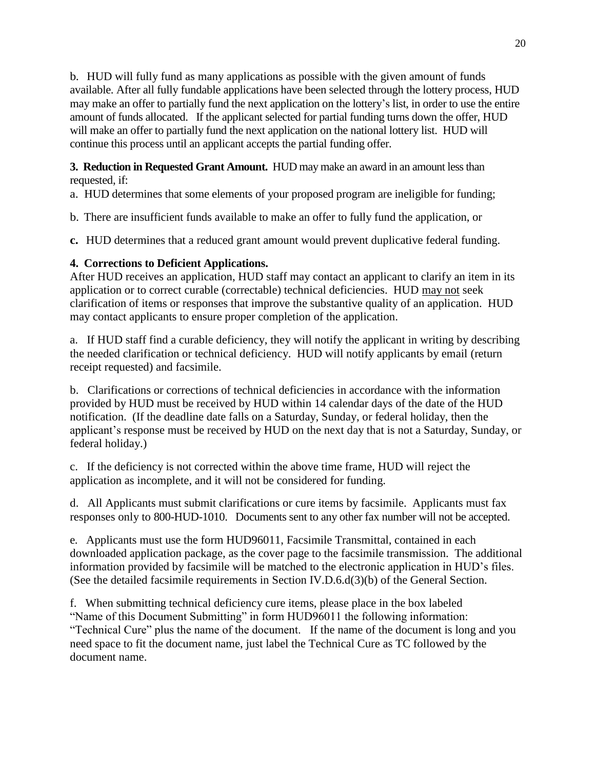b. HUD will fully fund as many applications as possible with the given amount of funds available. After all fully fundable applications have been selected through the lottery process, HUD may make an offer to partially fund the next application on the lottery's list, in order to use the entire amount of funds allocated. If the applicant selected for partial funding turns down the offer, HUD will make an offer to partially fund the next application on the national lottery list. HUD will continue this process until an applicant accepts the partial funding offer.

**3. Reduction in Requested Grant Amount.** HUD may make an award in an amount less than requested, if:

a. HUD determines that some elements of your proposed program are ineligible for funding;

b. There are insufficient funds available to make an offer to fully fund the application, or

**c.** HUD determines that a reduced grant amount would prevent duplicative federal funding.

# **4. Corrections to Deficient Applications.**

After HUD receives an application, HUD staff may contact an applicant to clarify an item in its application or to correct curable (correctable) technical deficiencies. HUD may not seek clarification of items or responses that improve the substantive quality of an application. HUD may contact applicants to ensure proper completion of the application.

a. If HUD staff find a curable deficiency, they will notify the applicant in writing by describing the needed clarification or technical deficiency. HUD will notify applicants by email (return receipt requested) and facsimile.

b. Clarifications or corrections of technical deficiencies in accordance with the information provided by HUD must be received by HUD within 14 calendar days of the date of the HUD notification. (If the deadline date falls on a Saturday, Sunday, or federal holiday, then the applicant's response must be received by HUD on the next day that is not a Saturday, Sunday, or federal holiday.)

c. If the deficiency is not corrected within the above time frame, HUD will reject the application as incomplete, and it will not be considered for funding.

d. All Applicants must submit clarifications or cure items by facsimile. Applicants must fax responses only to 800-HUD-1010. Documents sent to any other fax number will not be accepted.

e. Applicants must use the form HUD96011, Facsimile Transmittal, contained in each downloaded application package, as the cover page to the facsimile transmission. The additional information provided by facsimile will be matched to the electronic application in HUD's files. (See the detailed facsimile requirements in Section IV.D.6.d(3)(b) of the General Section.

f. When submitting technical deficiency cure items, please place in the box labeled "Name of this Document Submitting" in form HUD96011 the following information: "Technical Cure" plus the name of the document. If the name of the document is long and you need space to fit the document name, just label the Technical Cure as TC followed by the document name.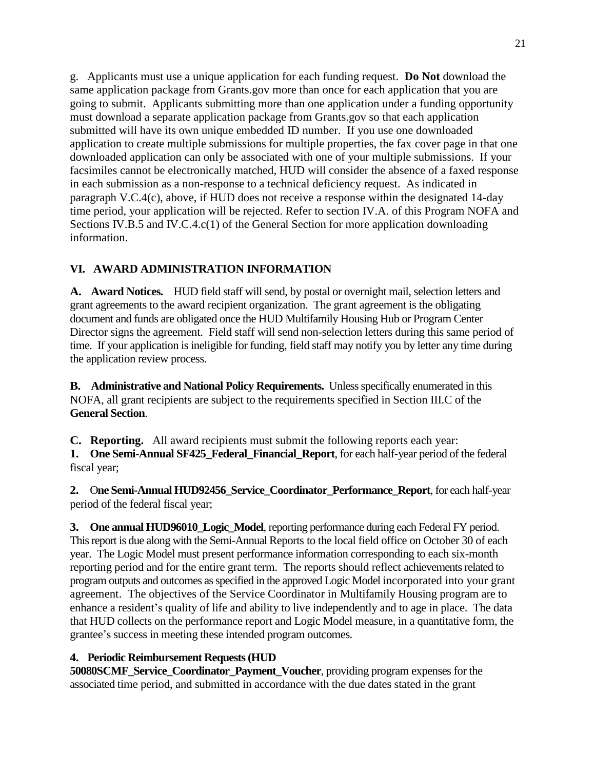g. Applicants must use a unique application for each funding request. **Do Not** download the same application package from Grants.gov more than once for each application that you are going to submit. Applicants submitting more than one application under a funding opportunity must download a separate application package from Grants.gov so that each application submitted will have its own unique embedded ID number. If you use one downloaded application to create multiple submissions for multiple properties, the fax cover page in that one downloaded application can only be associated with one of your multiple submissions. If your facsimiles cannot be electronically matched, HUD will consider the absence of a faxed response in each submission as a non-response to a technical deficiency request. As indicated in paragraph V.C.4(c), above, if HUD does not receive a response within the designated 14-day time period, your application will be rejected. Refer to section IV.A. of this Program NOFA and Sections IV.B.5 and IV.C.4.c(1) of the General Section for more application downloading information.

# **VI. AWARD ADMINISTRATION INFORMATION**

**A. Award Notices.** HUD field staff will send, by postal or overnight mail, selection letters and grant agreements to the award recipient organization. The grant agreement is the obligating document and funds are obligated once the HUD Multifamily Housing Hub or Program Center Director signs the agreement. Field staff will send non-selection letters during this same period of time. If your application is ineligible for funding, field staff may notify you by letter any time during the application review process.

**B. Administrative and National Policy Requirements.** Unless specifically enumerated in this NOFA, all grant recipients are subject to the requirements specified in Section III.C of the **General Section**.

**C. Reporting.** All award recipients must submit the following reports each year:

**1.** One Semi-Annual SF425 Federal Financial Report, for each half-year period of the federal fiscal year;

**2.** O**ne Semi-Annual HUD92456\_Service\_Coordinator\_Performance\_Report**, for each half-year period of the federal fiscal year;

**3. One annual HUD96010\_Logic\_Model**, reporting performance during each Federal FY period. This report is due along with the Semi-Annual Reports to the local field office on October 30 of each year. The Logic Model must present performance information corresponding to each six-month reporting period and for the entire grant term. The reports should reflect achievements related to program outputs and outcomes as specified in the approved Logic Model incorporated into your grant agreement. The objectives of the Service Coordinator in Multifamily Housing program are to enhance a resident's quality of life and ability to live independently and to age in place. The data that HUD collects on the performance report and Logic Model measure, in a quantitative form, the grantee's success in meeting these intended program outcomes.

### **4. Periodic Reimbursement Requests (HUD**

**50080SCMF\_Service\_Coordinator\_Payment\_Voucher**, providing program expenses for the associated time period, and submitted in accordance with the due dates stated in the grant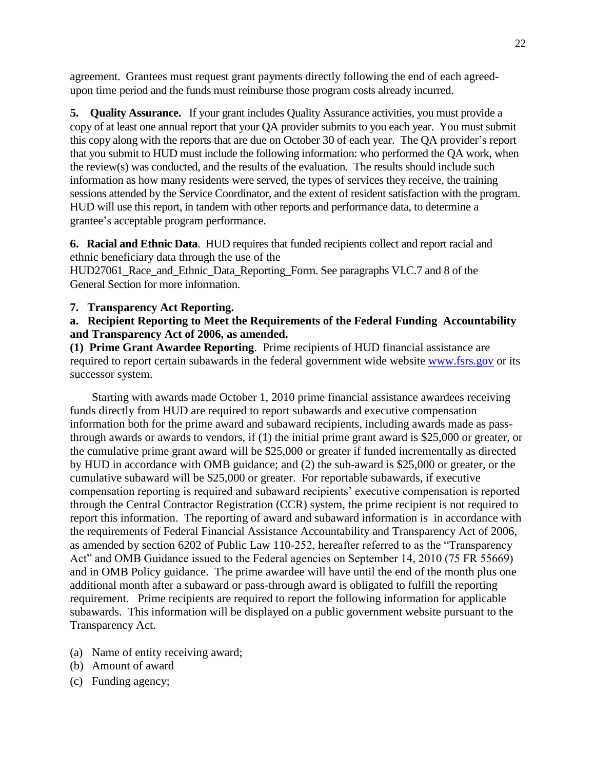agreement. Grantees must request grant payments directly following the end of each agreedupon time period and the funds must reimburse those program costs already incurred.

**5. Quality Assurance.** If your grant includes Quality Assurance activities, you must provide a copy of at least one annual report that your QA provider submits to you each year. You must submit this copy along with the reports that are due on October 30 of each year. The QA provider's report that you submit to HUD must include the following information: who performed the QA work, when the review(s) was conducted, and the results of the evaluation. The results should include such information as how many residents were served, the types of services they receive, the training sessions attended by the Service Coordinator, and the extent of resident satisfaction with the program. HUD will use this report, in tandem with other reports and performance data, to determine a grantee's acceptable program performance.

**6. Racial and Ethnic Data**. HUD requires that funded recipients collect and report racial and ethnic beneficiary data through the use of the HUD27061\_Race\_and\_Ethnic\_Data\_Reporting\_Form. See paragraphs VI.C.7 and 8 of the General Section for more information.

#### **7. Transparency Act Reporting.**

#### **a. Recipient Reporting to Meet the Requirements of the Federal Funding Accountability and Transparency Act of 2006, as amended.**

**(1) Prime Grant Awardee Reporting**. Prime recipients of HUD financial assistance are required to report certain subawards in the federal government wide website [www.fsrs.gov](http://www.fsrs.gov/) or its successor system.

Starting with awards made October 1, 2010 prime financial assistance awardees receiving funds directly from HUD are required to report subawards and executive compensation information both for the prime award and subaward recipients, including awards made as passthrough awards or awards to vendors, if (1) the initial prime grant award is \$25,000 or greater, or the cumulative prime grant award will be \$25,000 or greater if funded incrementally as directed by HUD in accordance with OMB guidance; and (2) the sub-award is \$25,000 or greater, or the cumulative subaward will be \$25,000 or greater. For reportable subawards, if executive compensation reporting is required and subaward recipients' executive compensation is reported through the Central Contractor Registration (CCR) system, the prime recipient is not required to report this information. The reporting of award and subaward information is in accordance with the requirements of Federal Financial Assistance Accountability and Transparency Act of 2006, as amended by section 6202 of Public Law 110-252, hereafter referred to as the "Transparency Act" and OMB Guidance issued to the Federal agencies on September 14, 2010 (75 FR 55669) and in OMB Policy guidance. The prime awardee will have until the end of the month plus one additional month after a subaward or pass-through award is obligated to fulfill the reporting requirement. Prime recipients are required to report the following information for applicable subawards. This information will be displayed on a public government website pursuant to the Transparency Act.

- (a) Name of entity receiving award;
- (b) Amount of award
- (c) Funding agency;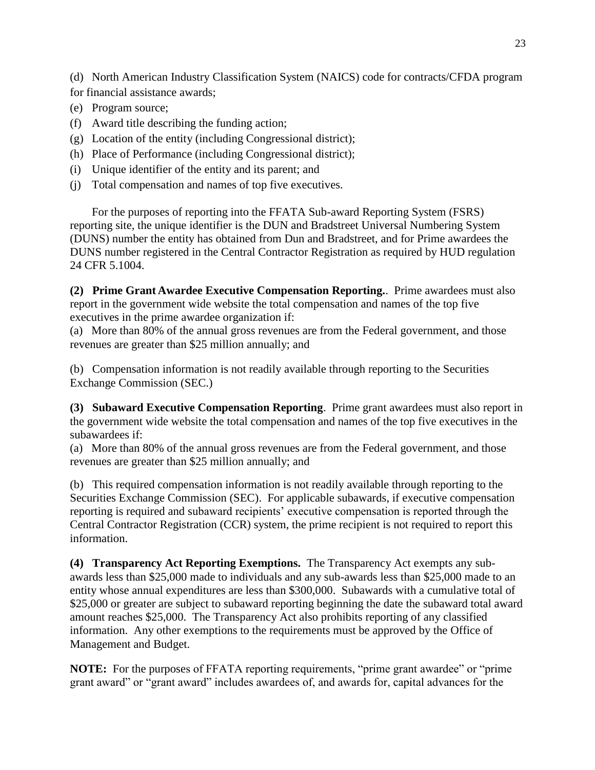(d) North American Industry Classification System (NAICS) code for contracts/CFDA program for financial assistance awards;

- (e) Program source;
- (f) Award title describing the funding action;
- (g) Location of the entity (including Congressional district);
- (h) Place of Performance (including Congressional district);
- (i) Unique identifier of the entity and its parent; and
- (j) Total compensation and names of top five executives.

For the purposes of reporting into the FFATA Sub-award Reporting System (FSRS) reporting site, the unique identifier is the DUN and Bradstreet Universal Numbering System (DUNS) number the entity has obtained from Dun and Bradstreet, and for Prime awardees the DUNS number registered in the Central Contractor Registration as required by HUD regulation 24 CFR 5.1004.

**(2) Prime Grant Awardee Executive Compensation Reporting.**. Prime awardees must also report in the government wide website the total compensation and names of the top five executives in the prime awardee organization if:

(a) More than 80% of the annual gross revenues are from the Federal government, and those revenues are greater than \$25 million annually; and

(b) Compensation information is not readily available through reporting to the Securities Exchange Commission (SEC.)

**(3) Subaward Executive Compensation Reporting**. Prime grant awardees must also report in the government wide website the total compensation and names of the top five executives in the subawardees if:

(a) More than 80% of the annual gross revenues are from the Federal government, and those revenues are greater than \$25 million annually; and

(b) This required compensation information is not readily available through reporting to the Securities Exchange Commission (SEC). For applicable subawards, if executive compensation reporting is required and subaward recipients' executive compensation is reported through the Central Contractor Registration (CCR) system, the prime recipient is not required to report this information.

**(4) Transparency Act Reporting Exemptions.** The Transparency Act exempts any subawards less than \$25,000 made to individuals and any sub-awards less than \$25,000 made to an entity whose annual expenditures are less than \$300,000. Subawards with a cumulative total of \$25,000 or greater are subject to subaward reporting beginning the date the subaward total award amount reaches \$25,000. The Transparency Act also prohibits reporting of any classified information. Any other exemptions to the requirements must be approved by the Office of Management and Budget.

**NOTE:** For the purposes of FFATA reporting requirements, "prime grant awardee" or "prime grant award" or "grant award" includes awardees of, and awards for, capital advances for the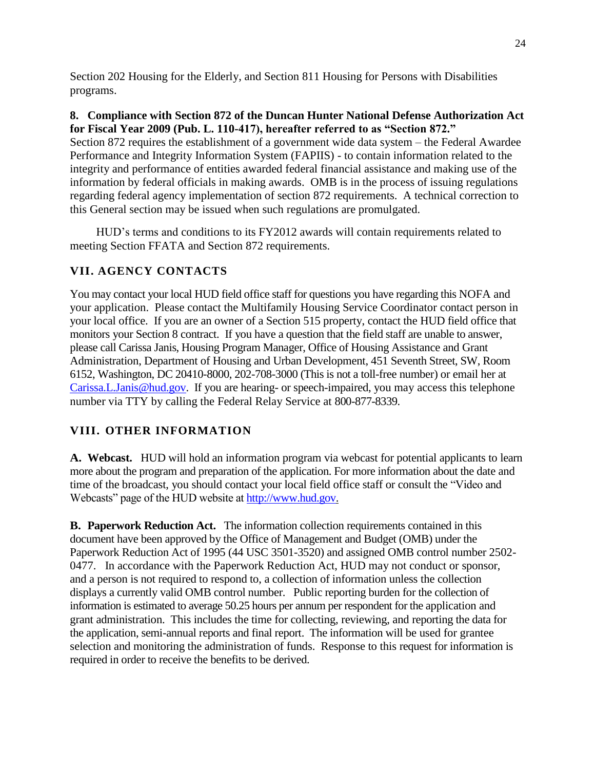Section 202 Housing for the Elderly, and Section 811 Housing for Persons with Disabilities programs.

#### **8. Compliance with Section 872 of the Duncan Hunter National Defense Authorization Act for Fiscal Year 2009 (Pub. L. 110-417), hereafter referred to as "Section 872."**

Section 872 requires the establishment of a government wide data system – the Federal Awardee Performance and Integrity Information System (FAPIIS) - to contain information related to the integrity and performance of entities awarded federal financial assistance and making use of the information by federal officials in making awards. OMB is in the process of issuing regulations regarding federal agency implementation of section 872 requirements. A technical correction to this General section may be issued when such regulations are promulgated.

HUD's terms and conditions to its FY2012 awards will contain requirements related to meeting Section FFATA and Section 872 requirements.

# **VII. AGENCY CONTACTS**

You may contact your local HUD field office staff for questions you have regarding this NOFA and your application. Please contact the Multifamily Housing Service Coordinator contact person in your local office. If you are an owner of a Section 515 property, contact the HUD field office that monitors your Section 8 contract. If you have a question that the field staff are unable to answer, please call Carissa Janis, Housing Program Manager, Office of Housing Assistance and Grant Administration, Department of Housing and Urban Development, 451 Seventh Street, SW, Room 6152, Washington, DC 20410-8000, 202-708-3000 (This is not a toll-free number) or email her at [Carissa.L.Janis@hud.gov.](mailto:Carissa.L.Janis@hud.gov) If you are hearing- or speech-impaired, you may access this telephone number via TTY by calling the Federal Relay Service at 800-877-8339.

# **VIII. OTHER INFORMATION**

**A. Webcast.** HUD will hold an information program via webcast for potential applicants to learn more about the program and preparation of the application. For more information about the date and time of the broadcast, you should contact your local field office staff or consult the "Video and Webcasts" page of the HUD website a[t http://www.hud.gov.](http://www.hud.gov/)

**B. Paperwork Reduction Act.** The information collection requirements contained in this document have been approved by the Office of Management and Budget (OMB) under the Paperwork Reduction Act of 1995 (44 USC 3501-3520) and assigned OMB control number 2502- 0477. In accordance with the Paperwork Reduction Act, HUD may not conduct or sponsor, and a person is not required to respond to, a collection of information unless the collection displays a currently valid OMB control number. Public reporting burden for the collection of information is estimated to average 50.25 hours per annum per respondent for the application and grant administration. This includes the time for collecting, reviewing, and reporting the data for the application, semi-annual reports and final report. The information will be used for grantee selection and monitoring the administration of funds. Response to this request for information is required in order to receive the benefits to be derived.